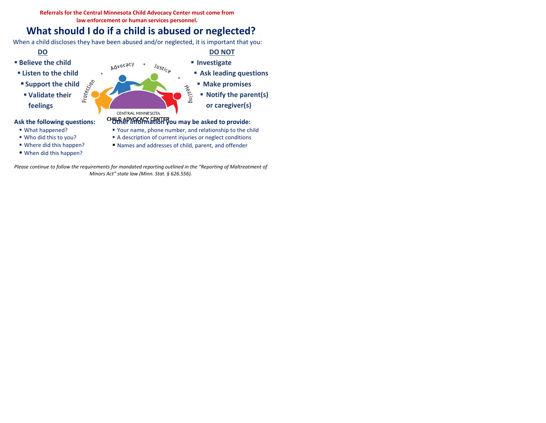**Referrals for the Central Minnesota Child Advocacy Center must come from law enforcement or human services personnel.** 

## **What should I do if a child is abused or neglected?**

When a child discloses they have been abused and/or neglected, it is important that you:



*Please continue to follow the requirements for mandated reporting outlined in the "Reporting of Maltreatment of Minors Act" state law (Minn. Stat. § 626.556).*